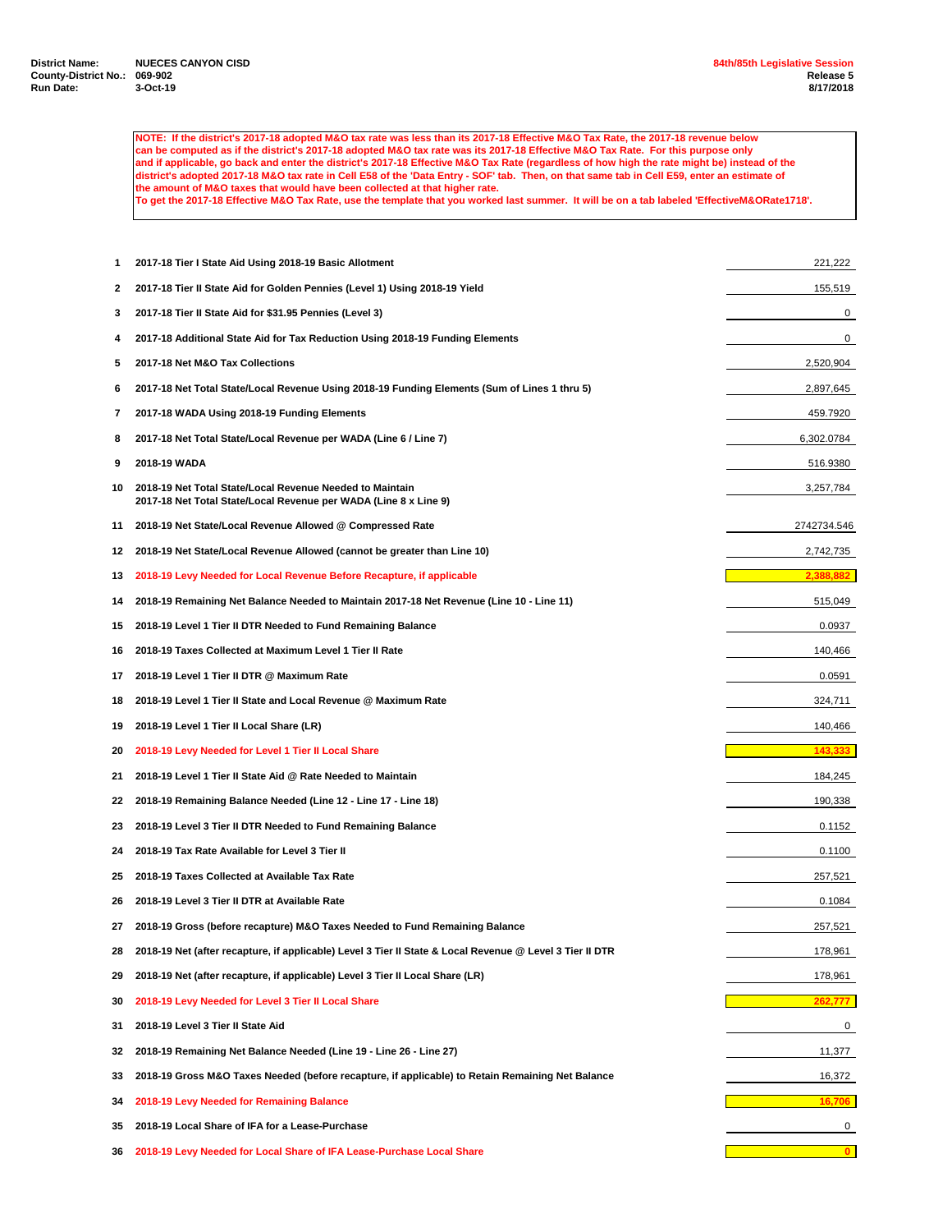**NOTE: If the district's 2017-18 adopted M&O tax rate was less than its 2017-18 Effective M&O Tax Rate, the 2017-18 revenue below can be computed as if the district's 2017-18 adopted M&O tax rate was its 2017-18 Effective M&O Tax Rate. For this purpose only and if applicable, go back and enter the district's 2017-18 Effective M&O Tax Rate (regardless of how high the rate might be) instead of the district's adopted 2017-18 M&O tax rate in Cell E58 of the 'Data Entry - SOF' tab. Then, on that same tab in Cell E59, enter an estimate of the amount of M&O taxes that would have been collected at that higher rate. To get the 2017-18 Effective M&O Tax Rate, use the template that you worked last summer. It will be on a tab labeled 'EffectiveM&ORate1718'.**

 **2017-18 Tier I State Aid Using 2018-19 Basic Allotment** 221,222 **2017-18 Tier II State Aid for Golden Pennies (Level 1) Using 2018-19 Yield** 155,519 **2017-18 Tier II State Aid for \$31.95 Pennies (Level 3)** 0 **2017-18 Additional State Aid for Tax Reduction Using 2018-19 Funding Elements** 0 **2017-18 Net M&O Tax Collections** 2,520,904 **2017-18 Net Total State/Local Revenue Using 2018-19 Funding Elements (Sum of Lines 1 thru 5)** 2,897,645 **2017-18 WADA Using 2018-19 Funding Elements** 459.7920 **2017-18 Net Total State/Local Revenue per WADA (Line 6 / Line 7)** 6,302.0784 **2018-19 WADA** 516.9380 **2018-19 Net Total State/Local Revenue Needed to Maintain** 3,257,784 **2017-18 Net Total State/Local Revenue per WADA (Line 8 x Line 9) 2018-19 Net State/Local Revenue Allowed @ Compressed Rate** 2742734.546 **2018-19 Net State/Local Revenue Allowed (cannot be greater than Line 10)** 2,742,735 **2018-19 Levy Needed for Local Revenue Before Recapture, if applicable 2018-19 Remaining Net Balance Needed to Maintain 2017-18 Net Revenue (Line 10 - Line 11)** 515,049 **2018-19 Level 1 Tier II DTR Needed to Fund Remaining Balance** 0.0937 **2018-19 Taxes Collected at Maximum Level 1 Tier II Rate** 140,466 **2018-19 Level 1 Tier II DTR @ Maximum Rate** 0.0591 **2018-19 Level 1 Tier II State and Local Revenue @ Maximum Rate** 324,711 **2018-19 Level 1 Tier II Local Share (LR)** 140,466 **2018-19 Levy Needed for Level 1 Tier II Local Share 143,333 143,333 2018-19 Level 1 Tier II State Aid @ Rate Needed to Maintain** 184,245 **2018-19 Remaining Balance Needed (Line 12 - Line 17 - Line 18)** 190,338 **2018-19 Level 3 Tier II DTR Needed to Fund Remaining Balance** 0.1152 **2018-19 Tax Rate Available for Level 3 Tier II** 0.1100 **2018-19 Taxes Collected at Available Tax Rate** 257,521 **2018-19 Level 3 Tier II DTR at Available Rate** 0.1084 **2018-19 Gross (before recapture) M&O Taxes Needed to Fund Remaining Balance** 257,521 **2018-19 Net (after recapture, if applicable) Level 3 Tier II State & Local Revenue @ Level 3 Tier II DTR** 178,961 **2018-19 Net (after recapture, if applicable) Level 3 Tier II Local Share (LR)** 178,961 **2018-19 Levy Needed for Level 3 Tier II Local Share 2018-19 Level 3 Tier II State Aid** 0 **2018-19 Remaining Net Balance Needed (Line 19 - Line 26 - Line 27)** 11,377 **2018-19 Gross M&O Taxes Needed (before recapture, if applicable) to Retain Remaining Net Balance** 16,372 **2018-19 Levy Needed for Remaining Balance 16,706 2018-19 Local Share of IFA for a Lease-Purchase** 0 **2018-19 Levy Needed for Local Share of IFA Lease-Purchase Local Share 0**